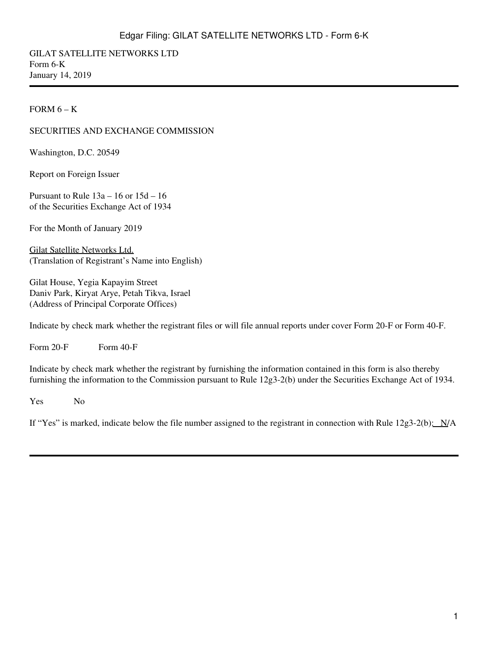GILAT SATELLITE NETWORKS LTD Form 6-K January 14, 2019

#### FORM  $6 - K$

#### SECURITIES AND EXCHANGE COMMISSION

Washington, D.C. 20549

Report on Foreign Issuer

Pursuant to Rule 13a – 16 or 15d – 16 of the Securities Exchange Act of 1934

For the Month of January 2019

Gilat Satellite Networks Ltd. (Translation of Registrant's Name into English)

Gilat House, Yegia Kapayim Street Daniv Park, Kiryat Arye, Petah Tikva, Israel (Address of Principal Corporate Offices)

Indicate by check mark whether the registrant files or will file annual reports under cover Form 20-F or Form 40-F.

Form  $20-F$  Form  $40-F$ 

Indicate by check mark whether the registrant by furnishing the information contained in this form is also thereby furnishing the information to the Commission pursuant to Rule 12g3-2(b) under the Securities Exchange Act of 1934.

Yes No

If "Yes" is marked, indicate below the file number assigned to the registrant in connection with Rule  $12g3-2(b)$ :  $N/A$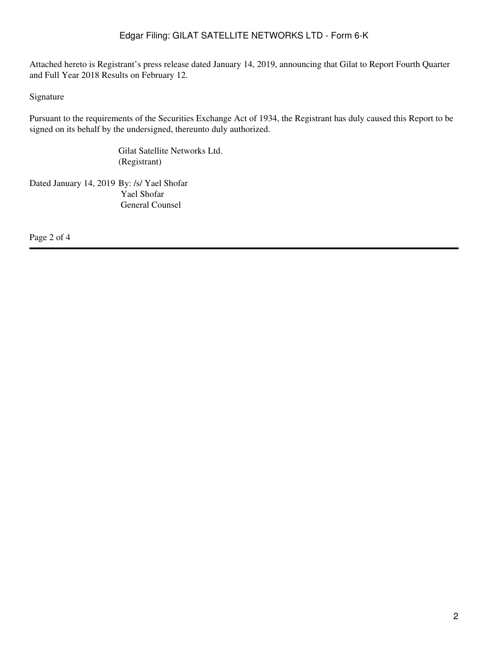Attached hereto is Registrant's press release dated January 14, 2019, announcing that Gilat to Report Fourth Quarter and Full Year 2018 Results on February 12.

Signature

Pursuant to the requirements of the Securities Exchange Act of 1934, the Registrant has duly caused this Report to be signed on its behalf by the undersigned, thereunto duly authorized.

> Gilat Satellite Networks Ltd. (Registrant)

Dated January 14, 2019 By: /s/ Yael Shofar Yael Shofar General Counsel

Page 2 of 4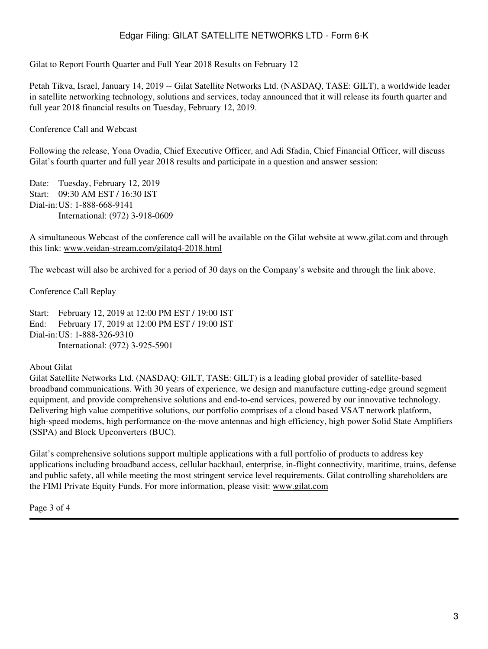Gilat to Report Fourth Quarter and Full Year 2018 Results on February 12

Petah Tikva, Israel, January 14, 2019 -- Gilat Satellite Networks Ltd. (NASDAQ, TASE: GILT), a worldwide leader in satellite networking technology, solutions and services, today announced that it will release its fourth quarter and full year 2018 financial results on Tuesday, February 12, 2019.

Conference Call and Webcast

Following the release, Yona Ovadia, Chief Executive Officer, and Adi Sfadia, Chief Financial Officer, will discuss Gilat's fourth quarter and full year 2018 results and participate in a question and answer session:

Date: Tuesday, February 12, 2019 Start: 09:30 AM EST / 16:30 IST Dial-in:US: 1-888-668-9141 International: (972) 3-918-0609

A simultaneous Webcast of the conference call will be available on the Gilat website at www.gilat.com and through this link: www.veidan-stream.com/gilatq4-2018.html

The webcast will also be archived for a period of 30 days on the Company's website and through the link above.

Conference Call Replay

Start: February 12, 2019 at 12:00 PM EST / 19:00 IST End: February 17, 2019 at 12:00 PM EST / 19:00 IST Dial-in:US: 1-888-326-9310 International: (972) 3-925-5901

#### About Gilat

Gilat Satellite Networks Ltd. (NASDAQ: GILT, TASE: GILT) is a leading global provider of satellite-based broadband communications. With 30 years of experience, we design and manufacture cutting-edge ground segment equipment, and provide comprehensive solutions and end-to-end services, powered by our innovative technology. Delivering high value competitive solutions, our portfolio comprises of a cloud based VSAT network platform, high-speed modems, high performance on-the-move antennas and high efficiency, high power Solid State Amplifiers (SSPA) and Block Upconverters (BUC).

Gilat's comprehensive solutions support multiple applications with a full portfolio of products to address key applications including broadband access, cellular backhaul, enterprise, in-flight connectivity, maritime, trains, defense and public safety, all while meeting the most stringent service level requirements. Gilat controlling shareholders are the FIMI Private Equity Funds. For more information, please visit: www.gilat.com

Page 3 of 4